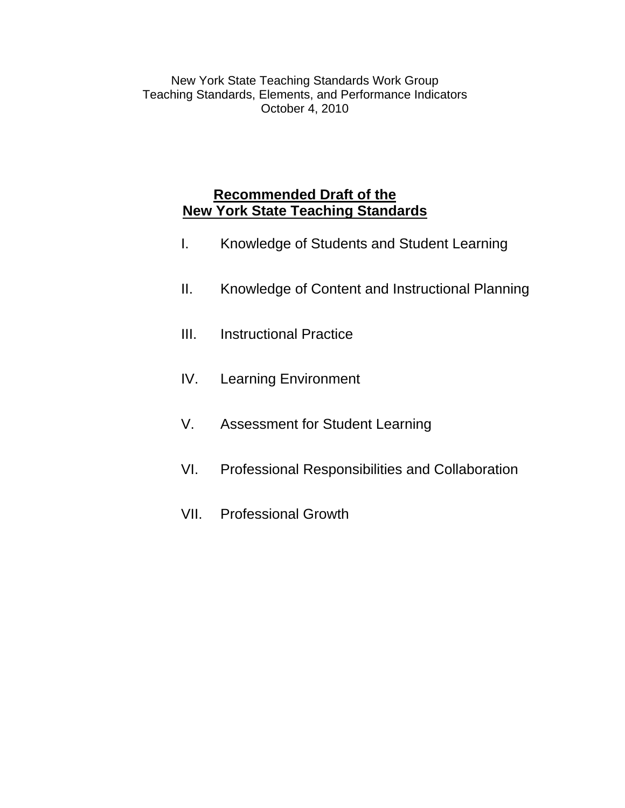New York State Teaching Standards Work Group Teaching Standards, Elements, and Performance Indicators October 4, 2010

# **Recommended Draft of the New York State Teaching Standards**

- I. Knowledge of Students and Student Learning
- II. Knowledge of Content and Instructional Planning
- III. Instructional Practice
- IV. Learning Environment
- V. Assessment for Student Learning
- VI. Professional Responsibilities and Collaboration
- VII. Professional Growth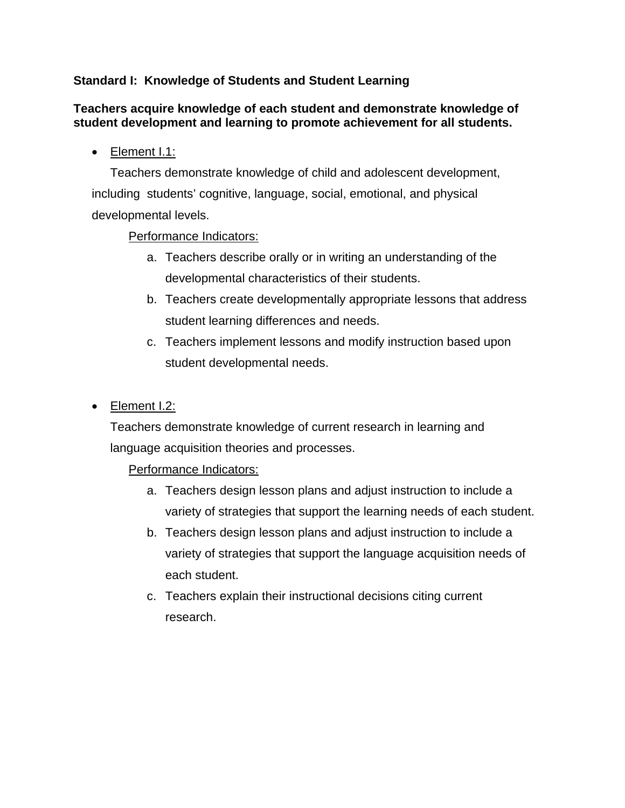## **Standard I: Knowledge of Students and Student Learning**

#### **Teachers acquire knowledge of each student and demonstrate knowledge of student development and learning to promote achievement for all students.**

• Element I.1:

 Teachers demonstrate knowledge of child and adolescent development, including students' cognitive, language, social, emotional, and physical developmental levels.

### Performance Indicators:

- a. Teachers describe orally or in writing an understanding of the developmental characteristics of their students.
- b. Teachers create developmentally appropriate lessons that address student learning differences and needs.
- c. Teachers implement lessons and modify instruction based upon student developmental needs.
- Element I.2:

Teachers demonstrate knowledge of current research in learning and language acquisition theories and processes.

- a. Teachers design lesson plans and adjust instruction to include a variety of strategies that support the learning needs of each student.
- b. Teachers design lesson plans and adjust instruction to include a variety of strategies that support the language acquisition needs of each student.
- c. Teachers explain their instructional decisions citing current research.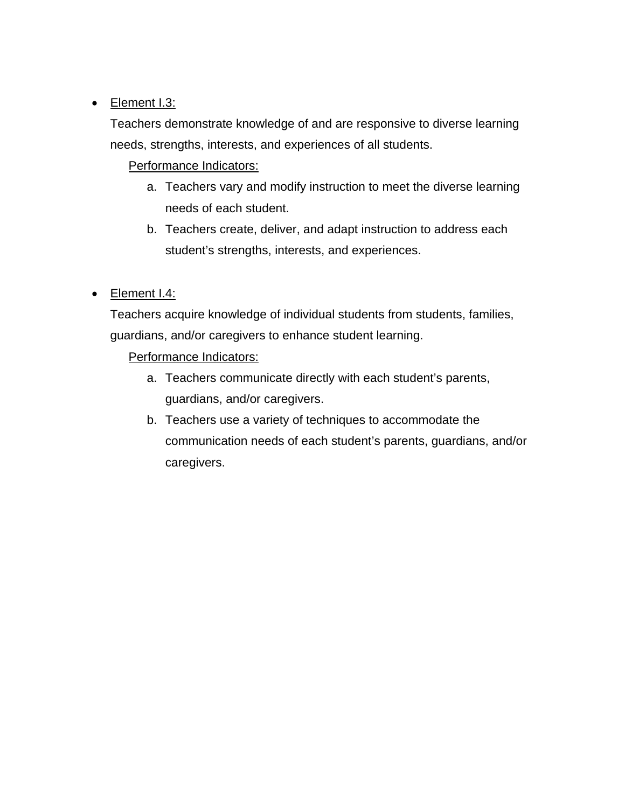## • Element I.3:

Teachers demonstrate knowledge of and are responsive to diverse learning needs, strengths, interests, and experiences of all students.

Performance Indicators:

- a. Teachers vary and modify instruction to meet the diverse learning needs of each student.
- b. Teachers create, deliver, and adapt instruction to address each student's strengths, interests, and experiences.
- Element I.4:

Teachers acquire knowledge of individual students from students, families, guardians, and/or caregivers to enhance student learning.

- a. Teachers communicate directly with each student's parents, guardians, and/or caregivers.
- b. Teachers use a variety of techniques to accommodate the communication needs of each student's parents, guardians, and/or caregivers.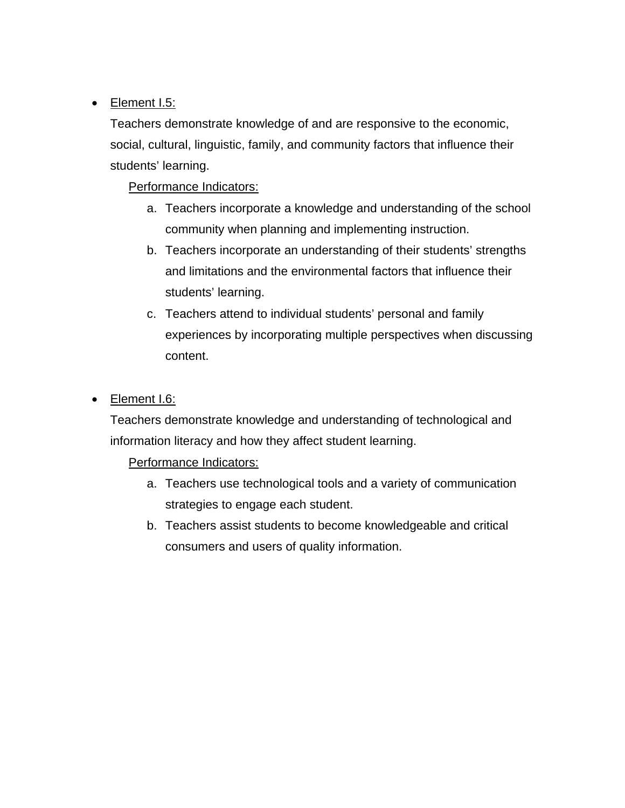## • Element I.5:

Teachers demonstrate knowledge of and are responsive to the economic, social, cultural, linguistic, family, and community factors that influence their students' learning.

## Performance Indicators:

- a. Teachers incorporate a knowledge and understanding of the school community when planning and implementing instruction.
- b. Teachers incorporate an understanding of their students' strengths and limitations and the environmental factors that influence their students' learning.
- c. Teachers attend to individual students' personal and family experiences by incorporating multiple perspectives when discussing content.

## Element I.6:

Teachers demonstrate knowledge and understanding of technological and information literacy and how they affect student learning.

- a. Teachers use technological tools and a variety of communication strategies to engage each student.
- b. Teachers assist students to become knowledgeable and critical consumers and users of quality information.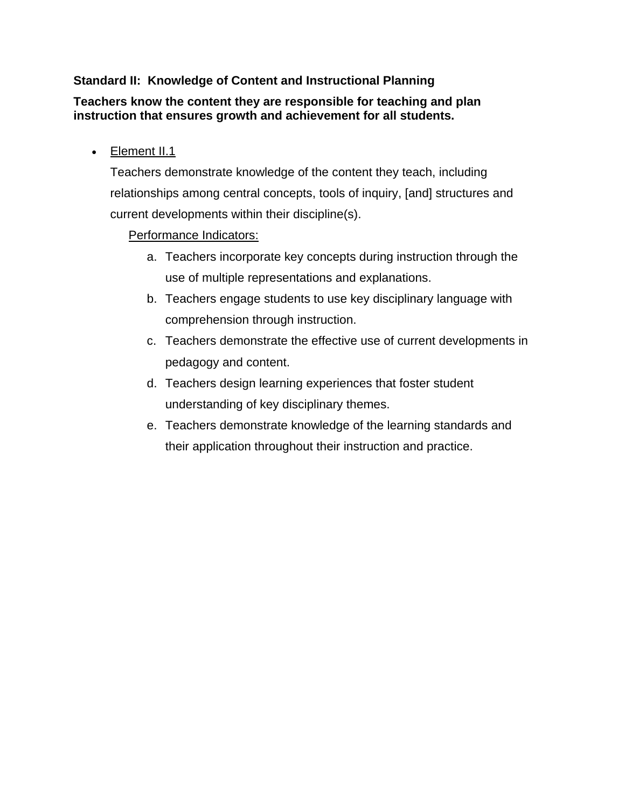## **Standard II: Knowledge of Content and Instructional Planning**

### **Teachers know the content they are responsible for teaching and plan instruction that ensures growth and achievement for all students.**

• Element II.1

Teachers demonstrate knowledge of the content they teach, including relationships among central concepts, tools of inquiry, [and] structures and current developments within their discipline(s).

- a. Teachers incorporate key concepts during instruction through the use of multiple representations and explanations.
- b. Teachers engage students to use key disciplinary language with comprehension through instruction.
- c. Teachers demonstrate the effective use of current developments in pedagogy and content.
- d. Teachers design learning experiences that foster student understanding of key disciplinary themes.
- e. Teachers demonstrate knowledge of the learning standards and their application throughout their instruction and practice.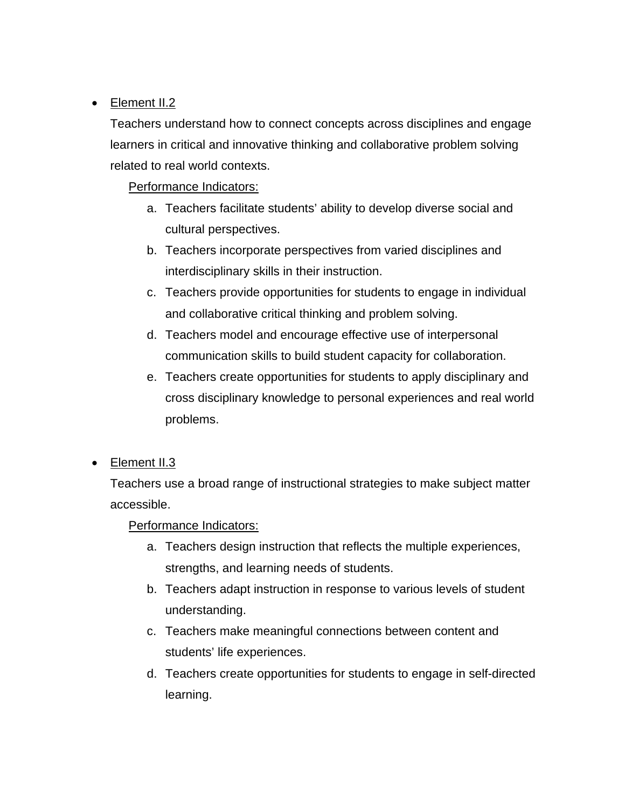## • Element II.2

Teachers understand how to connect concepts across disciplines and engage learners in critical and innovative thinking and collaborative problem solving related to real world contexts.

Performance Indicators:

- a. Teachers facilitate students' ability to develop diverse social and cultural perspectives.
- b. Teachers incorporate perspectives from varied disciplines and interdisciplinary skills in their instruction.
- c. Teachers provide opportunities for students to engage in individual and collaborative critical thinking and problem solving.
- d. Teachers model and encourage effective use of interpersonal communication skills to build student capacity for collaboration.
- e. Teachers create opportunities for students to apply disciplinary and cross disciplinary knowledge to personal experiences and real world problems.
- Element II.3

Teachers use a broad range of instructional strategies to make subject matter accessible.

- a. Teachers design instruction that reflects the multiple experiences, strengths, and learning needs of students.
- b. Teachers adapt instruction in response to various levels of student understanding.
- c. Teachers make meaningful connections between content and students' life experiences.
- d. Teachers create opportunities for students to engage in self-directed learning.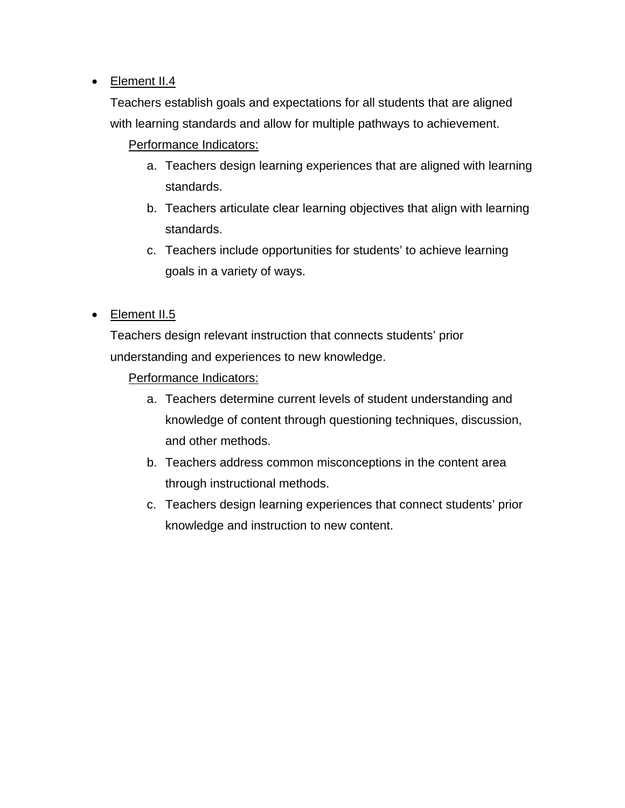## • Element II.4

Teachers establish goals and expectations for all students that are aligned with learning standards and allow for multiple pathways to achievement.

## Performance Indicators:

- a. Teachers design learning experiences that are aligned with learning standards.
- b. Teachers articulate clear learning objectives that align with learning standards.
- c. Teachers include opportunities for students' to achieve learning goals in a variety of ways.
- Element II.5

Teachers design relevant instruction that connects students' prior understanding and experiences to new knowledge.

- a. Teachers determine current levels of student understanding and knowledge of content through questioning techniques, discussion, and other methods.
- b. Teachers address common misconceptions in the content area through instructional methods.
- c. Teachers design learning experiences that connect students' prior knowledge and instruction to new content.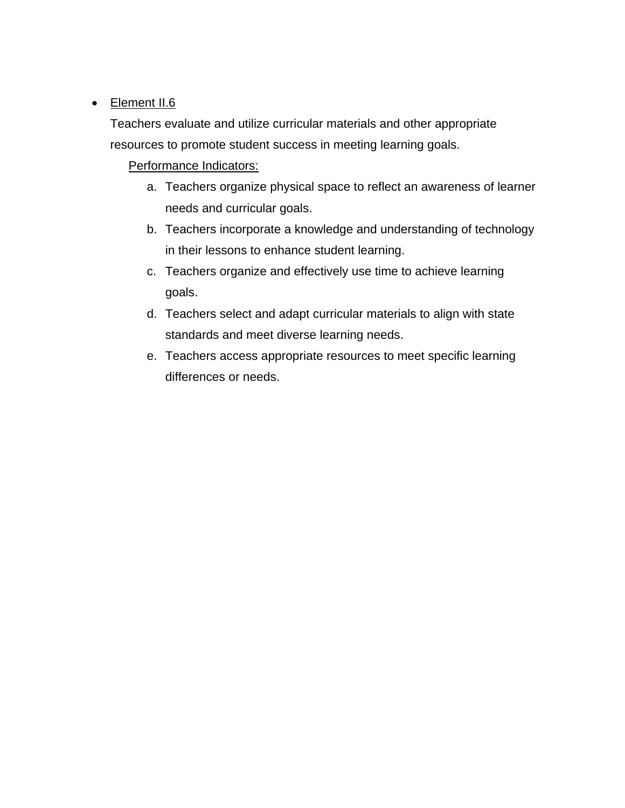## • Element II.6

Teachers evaluate and utilize curricular materials and other appropriate resources to promote student success in meeting learning goals.

- a. Teachers organize physical space to reflect an awareness of learner needs and curricular goals.
- b. Teachers incorporate a knowledge and understanding of technology in their lessons to enhance student learning.
- c. Teachers organize and effectively use time to achieve learning goals.
- d. Teachers select and adapt curricular materials to align with state standards and meet diverse learning needs.
- e. Teachers access appropriate resources to meet specific learning differences or needs.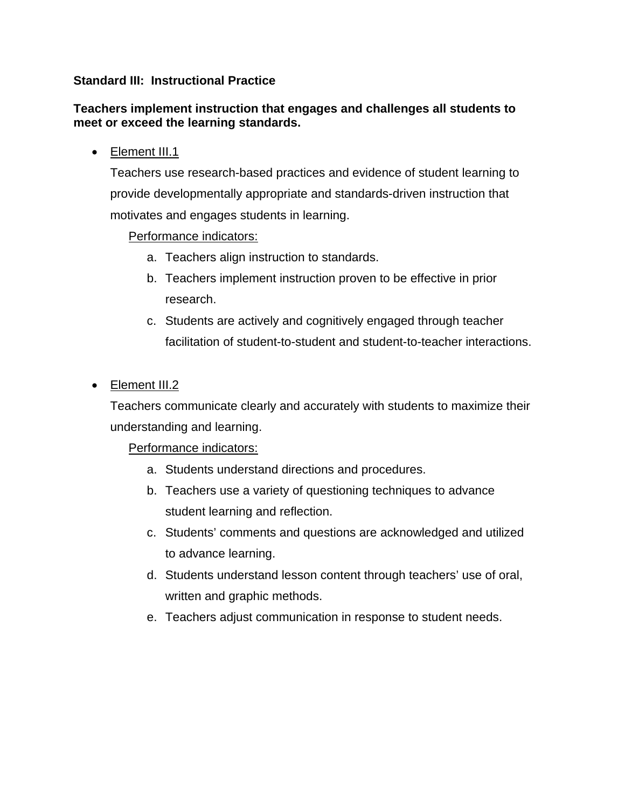### **Standard III: Instructional Practice**

#### **Teachers implement instruction that engages and challenges all students to meet or exceed the learning standards.**

• Element III.1

Teachers use research-based practices and evidence of student learning to provide developmentally appropriate and standards-driven instruction that motivates and engages students in learning.

### Performance indicators:

- a. Teachers align instruction to standards.
- b. Teachers implement instruction proven to be effective in prior research.
- c. Students are actively and cognitively engaged through teacher facilitation of student-to-student and student-to-teacher interactions.

## • Element III.2

Teachers communicate clearly and accurately with students to maximize their understanding and learning.

- a. Students understand directions and procedures.
- b. Teachers use a variety of questioning techniques to advance student learning and reflection.
- c. Students' comments and questions are acknowledged and utilized to advance learning.
- d. Students understand lesson content through teachers' use of oral, written and graphic methods.
- e. Teachers adjust communication in response to student needs.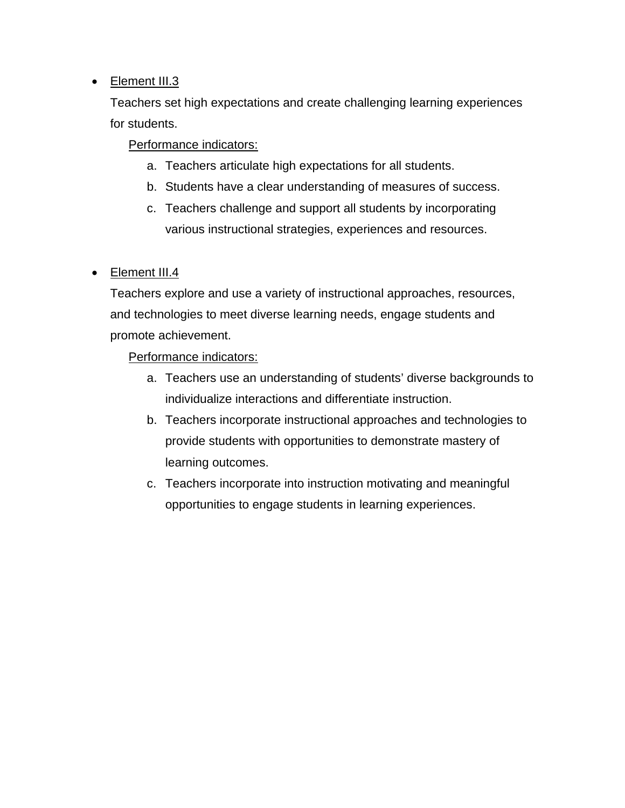## • Element III.3

Teachers set high expectations and create challenging learning experiences for students.

Performance indicators:

- a. Teachers articulate high expectations for all students.
- b. Students have a clear understanding of measures of success.
- c. Teachers challenge and support all students by incorporating various instructional strategies, experiences and resources.

• Element III.4

Teachers explore and use a variety of instructional approaches, resources, and technologies to meet diverse learning needs, engage students and promote achievement.

- a. Teachers use an understanding of students' diverse backgrounds to individualize interactions and differentiate instruction.
- b. Teachers incorporate instructional approaches and technologies to provide students with opportunities to demonstrate mastery of learning outcomes.
- c. Teachers incorporate into instruction motivating and meaningful opportunities to engage students in learning experiences.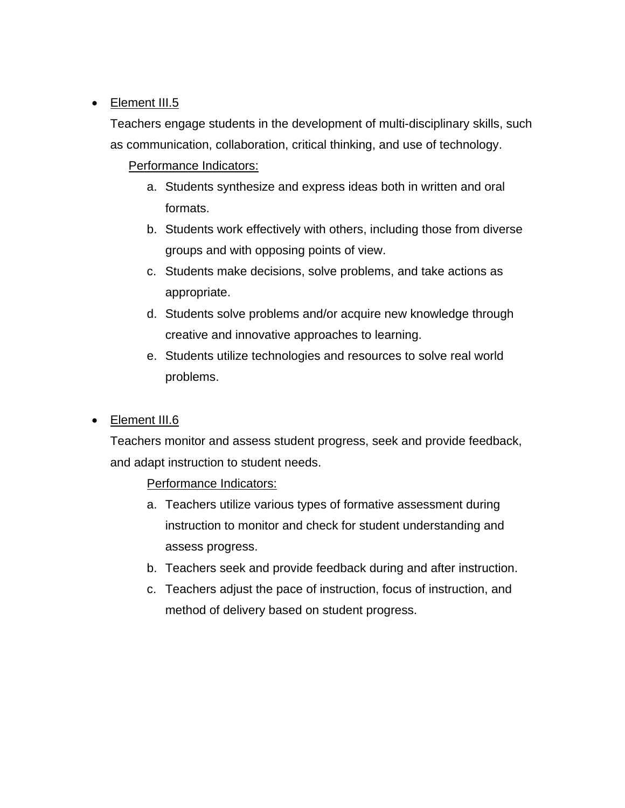## • Element III.5

Teachers engage students in the development of multi-disciplinary skills, such as communication, collaboration, critical thinking, and use of technology.

## Performance Indicators:

- a. Students synthesize and express ideas both in written and oral formats.
- b. Students work effectively with others, including those from diverse groups and with opposing points of view.
- c. Students make decisions, solve problems, and take actions as appropriate.
- d. Students solve problems and/or acquire new knowledge through creative and innovative approaches to learning.
- e. Students utilize technologies and resources to solve real world problems.

## • Element III.6

Teachers monitor and assess student progress, seek and provide feedback, and adapt instruction to student needs.

- a. Teachers utilize various types of formative assessment during instruction to monitor and check for student understanding and assess progress.
- b. Teachers seek and provide feedback during and after instruction.
- c. Teachers adjust the pace of instruction, focus of instruction, and method of delivery based on student progress.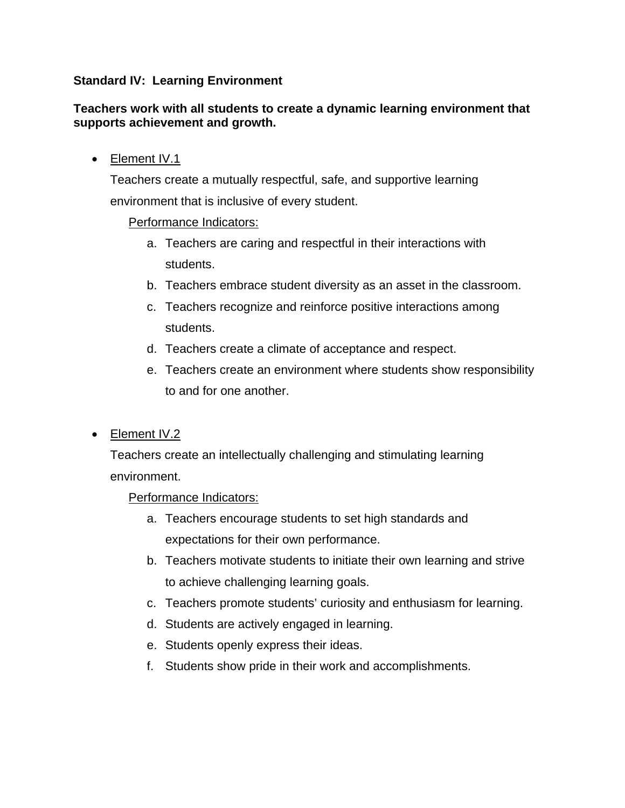#### **Standard IV: Learning Environment**

#### **Teachers work with all students to create a dynamic learning environment that supports achievement and growth.**

• Element IV.1

Teachers create a mutually respectful, safe, and supportive learning environment that is inclusive of every student.

## Performance Indicators:

- a. Teachers are caring and respectful in their interactions with students.
- b. Teachers embrace student diversity as an asset in the classroom.
- c. Teachers recognize and reinforce positive interactions among students.
- d. Teachers create a climate of acceptance and respect.
- e. Teachers create an environment where students show responsibility to and for one another.
- Element IV.2

Teachers create an intellectually challenging and stimulating learning environment.

- a. Teachers encourage students to set high standards and expectations for their own performance.
- b. Teachers motivate students to initiate their own learning and strive to achieve challenging learning goals.
- c. Teachers promote students' curiosity and enthusiasm for learning.
- d. Students are actively engaged in learning.
- e. Students openly express their ideas.
- f. Students show pride in their work and accomplishments.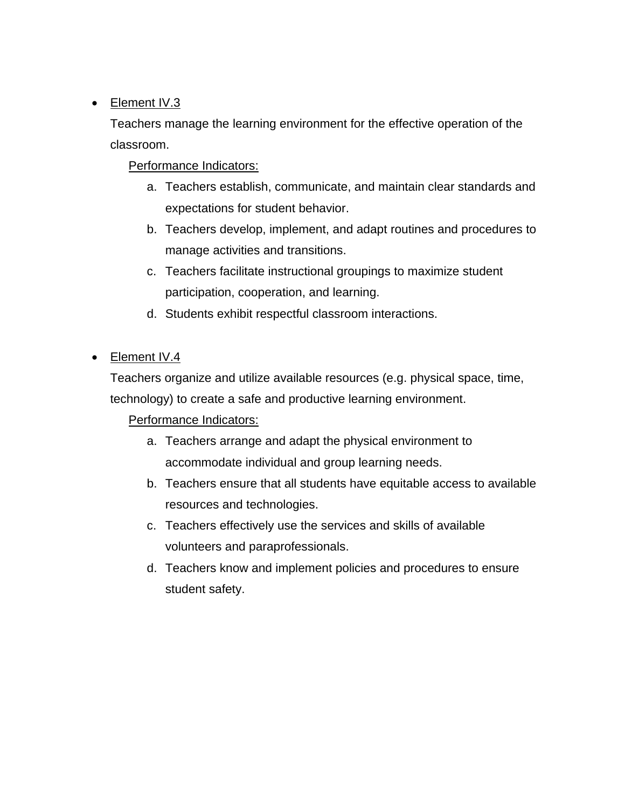## • Element IV.3

Teachers manage the learning environment for the effective operation of the classroom.

## Performance Indicators:

- a. Teachers establish, communicate, and maintain clear standards and expectations for student behavior.
- b. Teachers develop, implement, and adapt routines and procedures to manage activities and transitions.
- c. Teachers facilitate instructional groupings to maximize student participation, cooperation, and learning.
- d. Students exhibit respectful classroom interactions.
- Element IV.4

Teachers organize and utilize available resources (e.g. physical space, time, technology) to create a safe and productive learning environment.

- a. Teachers arrange and adapt the physical environment to accommodate individual and group learning needs.
- b. Teachers ensure that all students have equitable access to available resources and technologies.
- c. Teachers effectively use the services and skills of available volunteers and paraprofessionals.
- d. Teachers know and implement policies and procedures to ensure student safety.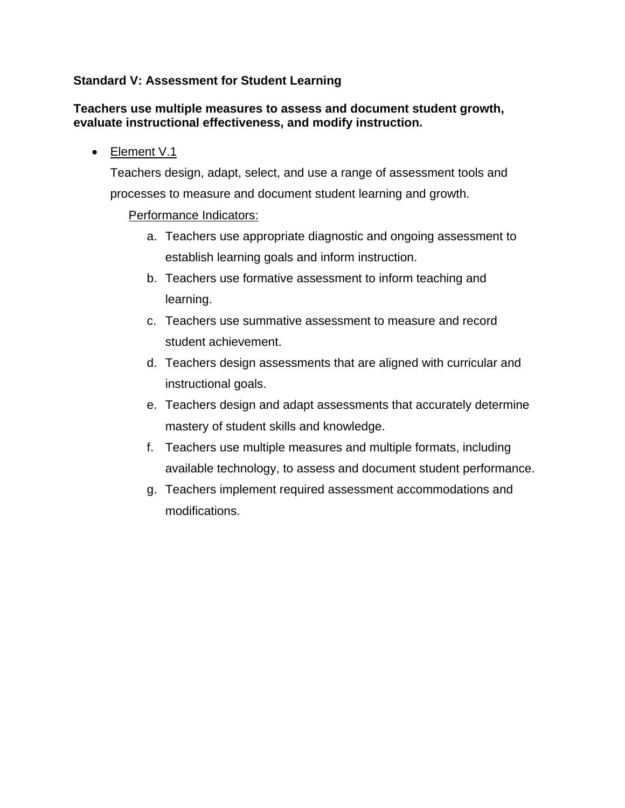## **Standard V: Assessment for Student Learning**

#### **Teachers use multiple measures to assess and document student growth, evaluate instructional effectiveness, and modify instruction.**

• Element V.1

Teachers design, adapt, select, and use a range of assessment tools and processes to measure and document student learning and growth.

- a. Teachers use appropriate diagnostic and ongoing assessment to establish learning goals and inform instruction.
- b. Teachers use formative assessment to inform teaching and learning.
- c. Teachers use summative assessment to measure and record student achievement.
- d. Teachers design assessments that are aligned with curricular and instructional goals.
- e. Teachers design and adapt assessments that accurately determine mastery of student skills and knowledge.
- f. Teachers use multiple measures and multiple formats, including available technology, to assess and document student performance.
- g. Teachers implement required assessment accommodations and modifications.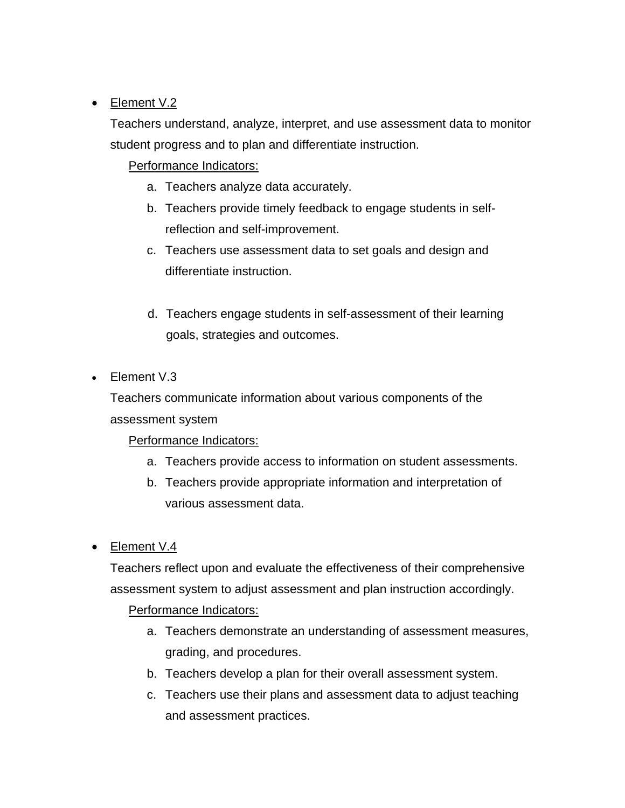## • Element V.2

Teachers understand, analyze, interpret, and use assessment data to monitor student progress and to plan and differentiate instruction.

## Performance Indicators:

- a. Teachers analyze data accurately.
- b. Teachers provide timely feedback to engage students in selfreflection and self-improvement.
- c. Teachers use assessment data to set goals and design and differentiate instruction.
- d. Teachers engage students in self-assessment of their learning goals, strategies and outcomes.
- Element V.3

Teachers communicate information about various components of the assessment system

## Performance Indicators:

- a. Teachers provide access to information on student assessments.
- b. Teachers provide appropriate information and interpretation of various assessment data.
- Element V.4

Teachers reflect upon and evaluate the effectiveness of their comprehensive assessment system to adjust assessment and plan instruction accordingly.

- a. Teachers demonstrate an understanding of assessment measures, grading, and procedures.
- b. Teachers develop a plan for their overall assessment system.
- c. Teachers use their plans and assessment data to adjust teaching and assessment practices.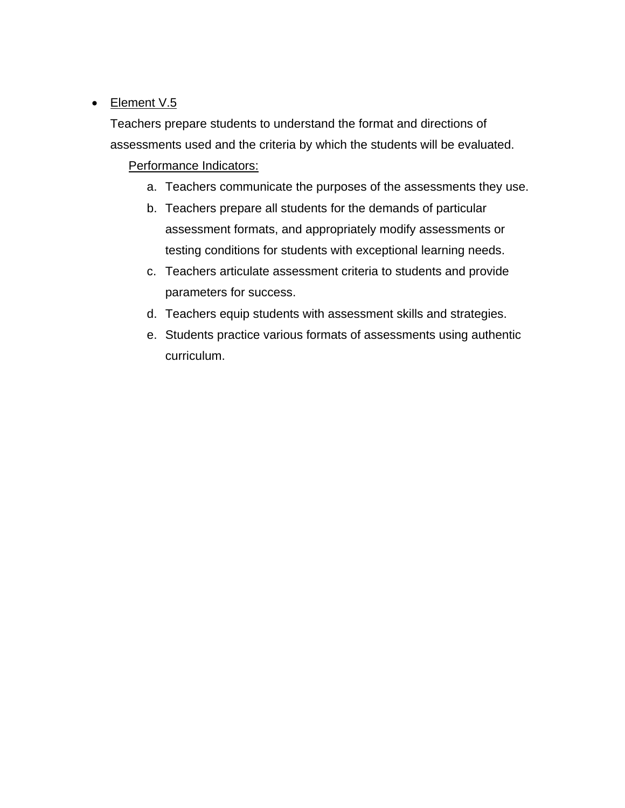## • Element V.5

Teachers prepare students to understand the format and directions of assessments used and the criteria by which the students will be evaluated. Performance Indicators:

- a. Teachers communicate the purposes of the assessments they use.
- b. Teachers prepare all students for the demands of particular assessment formats, and appropriately modify assessments or testing conditions for students with exceptional learning needs.
- c. Teachers articulate assessment criteria to students and provide parameters for success.
- d. Teachers equip students with assessment skills and strategies.
- e. Students practice various formats of assessments using authentic curriculum.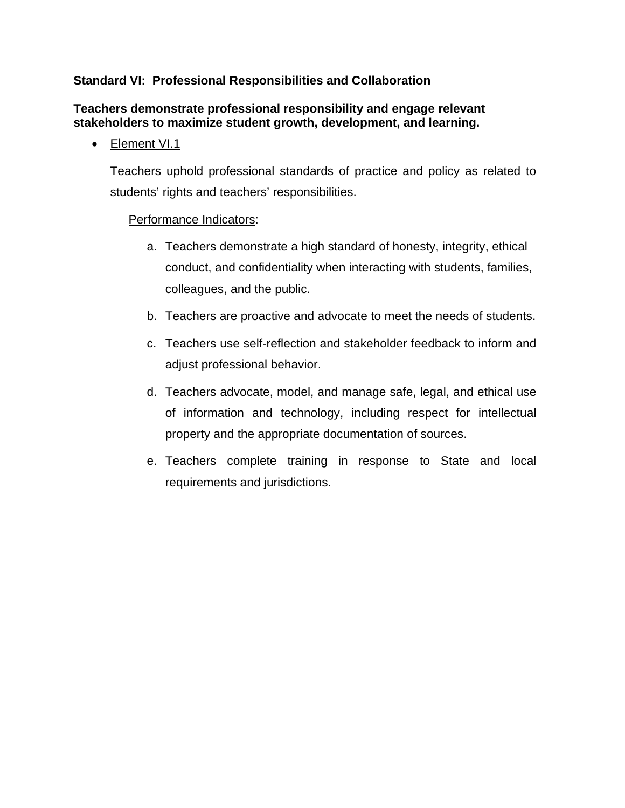## **Standard VI: Professional Responsibilities and Collaboration**

### **Teachers demonstrate professional responsibility and engage relevant stakeholders to maximize student growth, development, and learning.**

• Element VI.1

Teachers uphold professional standards of practice and policy as related to students' rights and teachers' responsibilities.

- a. Teachers demonstrate a high standard of honesty, integrity, ethical conduct, and confidentiality when interacting with students, families, colleagues, and the public.
- b. Teachers are proactive and advocate to meet the needs of students.
- c. Teachers use self-reflection and stakeholder feedback to inform and adjust professional behavior.
- d. Teachers advocate, model, and manage safe, legal, and ethical use of information and technology, including respect for intellectual property and the appropriate documentation of sources.
- e. Teachers complete training in response to State and local requirements and jurisdictions.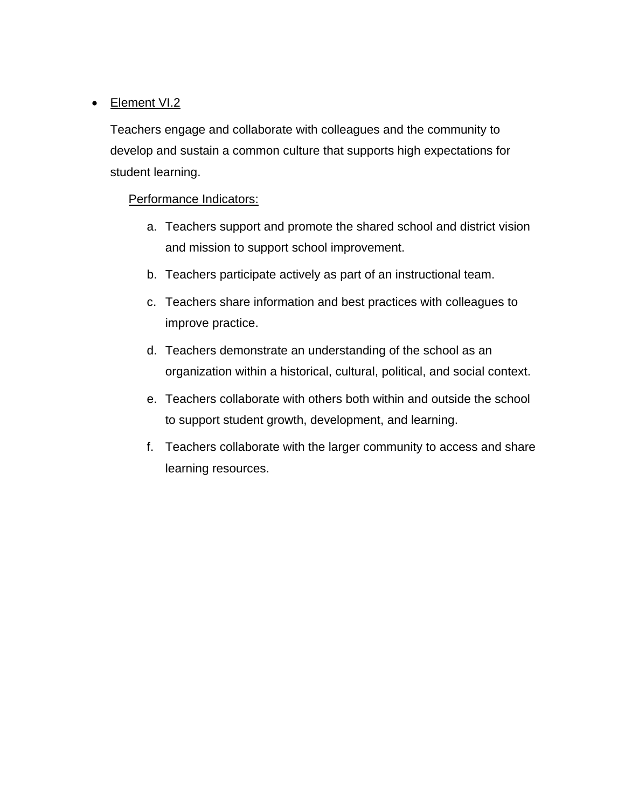## • Element VI.2

Teachers engage and collaborate with colleagues and the community to develop and sustain a common culture that supports high expectations for student learning.

- a. Teachers support and promote the shared school and district vision and mission to support school improvement.
- b. Teachers participate actively as part of an instructional team.
- c. Teachers share information and best practices with colleagues to improve practice.
- d. Teachers demonstrate an understanding of the school as an organization within a historical, cultural, political, and social context.
- e. Teachers collaborate with others both within and outside the school to support student growth, development, and learning.
- f. Teachers collaborate with the larger community to access and share learning resources.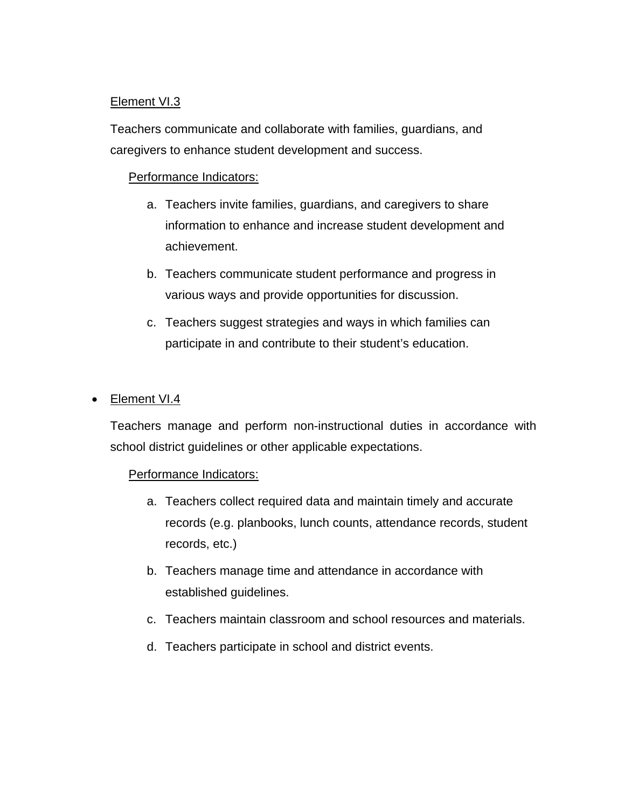## Element VI.3

Teachers communicate and collaborate with families, guardians, and caregivers to enhance student development and success.

#### Performance Indicators:

- a. Teachers invite families, guardians, and caregivers to share information to enhance and increase student development and achievement.
- b. Teachers communicate student performance and progress in various ways and provide opportunities for discussion.
- c. Teachers suggest strategies and ways in which families can participate in and contribute to their student's education.

#### • Element VI.4

Teachers manage and perform non-instructional duties in accordance with school district guidelines or other applicable expectations.

- a. Teachers collect required data and maintain timely and accurate records (e.g. planbooks, lunch counts, attendance records, student records, etc.)
- b. Teachers manage time and attendance in accordance with established guidelines.
- c. Teachers maintain classroom and school resources and materials.
- d. Teachers participate in school and district events.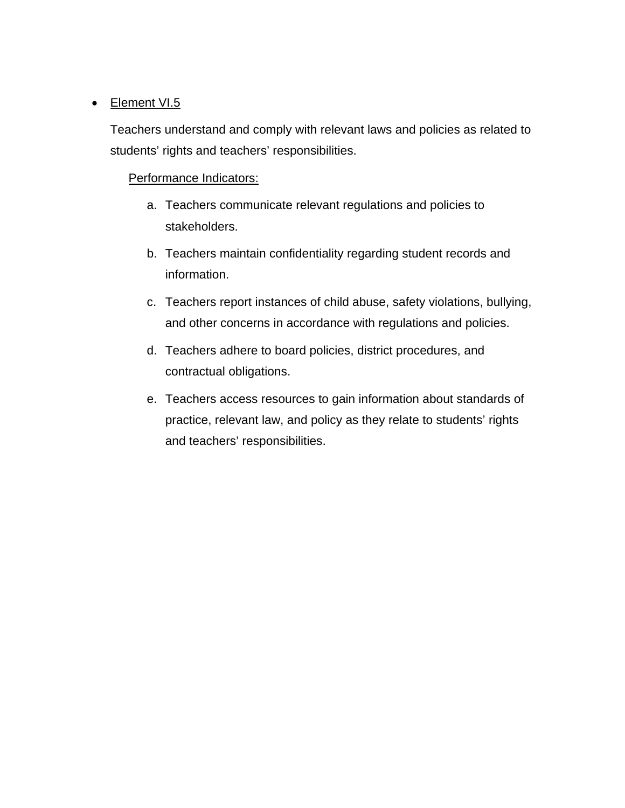#### • Element VI.5

Teachers understand and comply with relevant laws and policies as related to students' rights and teachers' responsibilities.

- a. Teachers communicate relevant regulations and policies to stakeholders.
- b. Teachers maintain confidentiality regarding student records and information.
- c. Teachers report instances of child abuse, safety violations, bullying, and other concerns in accordance with regulations and policies.
- d. Teachers adhere to board policies, district procedures, and contractual obligations.
- e. Teachers access resources to gain information about standards of practice, relevant law, and policy as they relate to students' rights and teachers' responsibilities.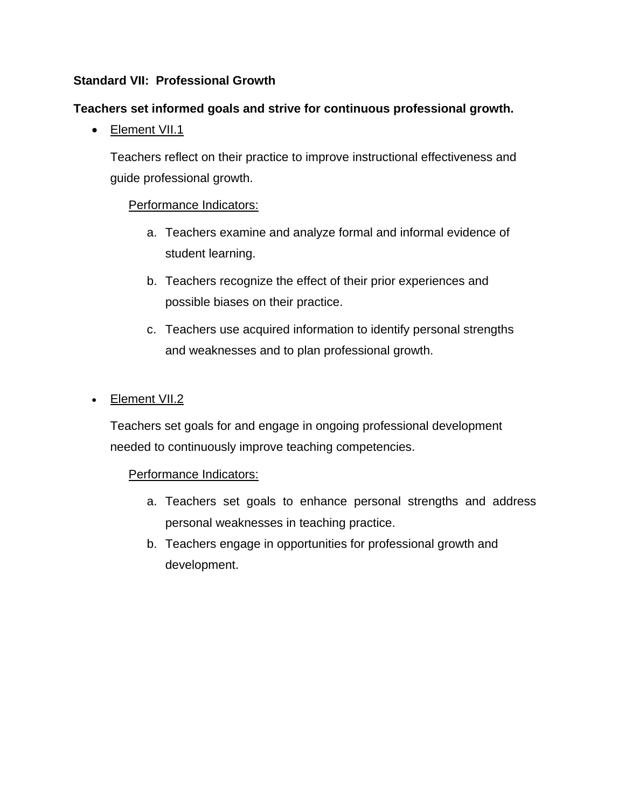## **Standard VII: Professional Growth**

## **Teachers set informed goals and strive for continuous professional growth.**

• Element VII.1

Teachers reflect on their practice to improve instructional effectiveness and guide professional growth.

## Performance Indicators:

- a. Teachers examine and analyze formal and informal evidence of student learning.
- b. Teachers recognize the effect of their prior experiences and possible biases on their practice.
- c. Teachers use acquired information to identify personal strengths and weaknesses and to plan professional growth.
- Element VII.2

Teachers set goals for and engage in ongoing professional development needed to continuously improve teaching competencies.

- a. Teachers set goals to enhance personal strengths and address personal weaknesses in teaching practice.
- b. Teachers engage in opportunities for professional growth and development.